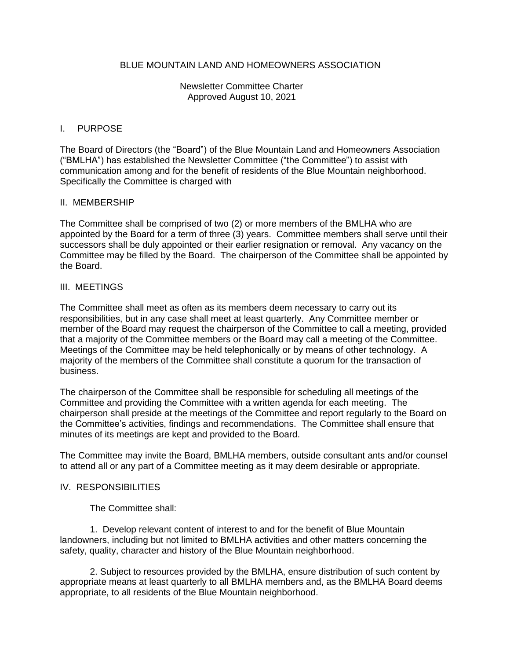## BLUE MOUNTAIN LAND AND HOMEOWNERS ASSOCIATION

Newsletter Committee Charter Approved August 10, 2021

### I. PURPOSE

The Board of Directors (the "Board") of the Blue Mountain Land and Homeowners Association ("BMLHA") has established the Newsletter Committee ("the Committee") to assist with communication among and for the benefit of residents of the Blue Mountain neighborhood. Specifically the Committee is charged with

#### II. MEMBERSHIP

The Committee shall be comprised of two (2) or more members of the BMLHA who are appointed by the Board for a term of three (3) years. Committee members shall serve until their successors shall be duly appointed or their earlier resignation or removal. Any vacancy on the Committee may be filled by the Board. The chairperson of the Committee shall be appointed by the Board.

#### III. MEETINGS

The Committee shall meet as often as its members deem necessary to carry out its responsibilities, but in any case shall meet at least quarterly. Any Committee member or member of the Board may request the chairperson of the Committee to call a meeting, provided that a majority of the Committee members or the Board may call a meeting of the Committee. Meetings of the Committee may be held telephonically or by means of other technology. A majority of the members of the Committee shall constitute a quorum for the transaction of business.

The chairperson of the Committee shall be responsible for scheduling all meetings of the Committee and providing the Committee with a written agenda for each meeting. The chairperson shall preside at the meetings of the Committee and report regularly to the Board on the Committee's activities, findings and recommendations. The Committee shall ensure that minutes of its meetings are kept and provided to the Board.

The Committee may invite the Board, BMLHA members, outside consultant ants and/or counsel to attend all or any part of a Committee meeting as it may deem desirable or appropriate.

#### IV. RESPONSIBILITIES

The Committee shall:

1. Develop relevant content of interest to and for the benefit of Blue Mountain landowners, including but not limited to BMLHA activities and other matters concerning the safety, quality, character and history of the Blue Mountain neighborhood.

2. Subject to resources provided by the BMLHA, ensure distribution of such content by appropriate means at least quarterly to all BMLHA members and, as the BMLHA Board deems appropriate, to all residents of the Blue Mountain neighborhood.